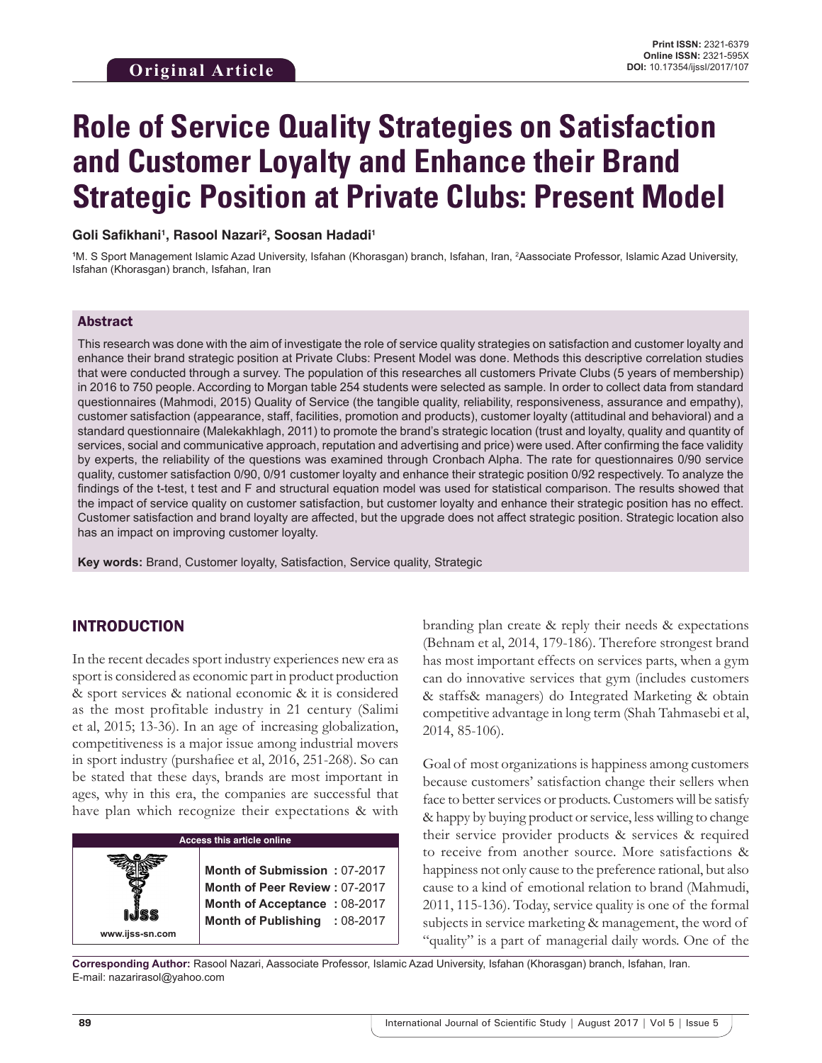# **Role of Service Quality Strategies on Satisfaction and Customer Loyalty and Enhance their Brand Strategic Position at Private Clubs: Present Model**

**Goli Safikhani1 , Rasool Nazari2 , Soosan Hadadi1**

**1** M. S Sport Management Islamic Azad University, Isfahan (Khorasgan) branch, Isfahan, Iran, 2 Aassociate Professor, Islamic Azad University, Isfahan (Khorasgan) branch, Isfahan, Iran

#### Abstract

This research was done with the aim of investigate the role of service quality strategies on satisfaction and customer loyalty and enhance their brand strategic position at Private Clubs: Present Model was done. Methods this descriptive correlation studies that were conducted through a survey. The population of this researches all customers Private Clubs (5 years of membership) in 2016 to 750 people. According to Morgan table 254 students were selected as sample. In order to collect data from standard questionnaires (Mahmodi, 2015) Quality of Service (the tangible quality, reliability, responsiveness, assurance and empathy), customer satisfaction (appearance, staff, facilities, promotion and products), customer loyalty (attitudinal and behavioral) and a standard questionnaire (Malekakhlagh, 2011) to promote the brand's strategic location (trust and loyalty, quality and quantity of services, social and communicative approach, reputation and advertising and price) were used. After confirming the face validity by experts, the reliability of the questions was examined through Cronbach Alpha. The rate for questionnaires 0/90 service quality, customer satisfaction 0/90, 0/91 customer loyalty and enhance their strategic position 0/92 respectively. To analyze the findings of the t-test, t test and F and structural equation model was used for statistical comparison. The results showed that the impact of service quality on customer satisfaction, but customer loyalty and enhance their strategic position has no effect. Customer satisfaction and brand loyalty are affected, but the upgrade does not affect strategic position. Strategic location also has an impact on improving customer loyalty.

**Key words:** Brand, Customer loyalty, Satisfaction, Service quality, Strategic

#### INTRODUCTION

**www.ijss-sn.com**

In the recent decades sport industry experiences new era as sport is considered as economic part in product production & sport services & national economic & it is considered as the most profitable industry in 21 century (Salimi et al, 2015; 13-36). In an age of increasing globalization, competitiveness is a major issue among industrial movers in sport industry (purshafiee et al, 2016, 251-268). So can be stated that these days, brands are most important in ages, why in this era, the companies are successful that have plan which recognize their expectations & with

| <b>Access this article online</b> |  |  |  |  |  |
|-----------------------------------|--|--|--|--|--|
|                                   |  |  |  |  |  |

**Month of Submission :** 07-2017 **Month of Peer Review :** 07-2017 **Month of Acceptance :** 08-2017 **Month of Publishing :** 08-2017 branding plan create & reply their needs & expectations (Behnam et al, 2014, 179-186). Therefore strongest brand has most important effects on services parts, when a gym can do innovative services that gym (includes customers & staffs& managers) do Integrated Marketing & obtain competitive advantage in long term (Shah Tahmasebi et al, 2014, 85-106).

Goal of most organizations is happiness among customers because customers' satisfaction change their sellers when face to better services or products. Customers will be satisfy & happy by buying product or service, less willing to change their service provider products & services & required to receive from another source. More satisfactions & happiness not only cause to the preference rational, but also cause to a kind of emotional relation to brand (Mahmudi, 2011, 115-136). Today, service quality is one of the formal subjects in service marketing & management, the word of "quality" is a part of managerial daily words. One of the

**Corresponding Author:** Rasool Nazari, Aassociate Professor, Islamic Azad University, Isfahan (Khorasgan) branch, Isfahan, Iran. E-mail: nazarirasol@yahoo.com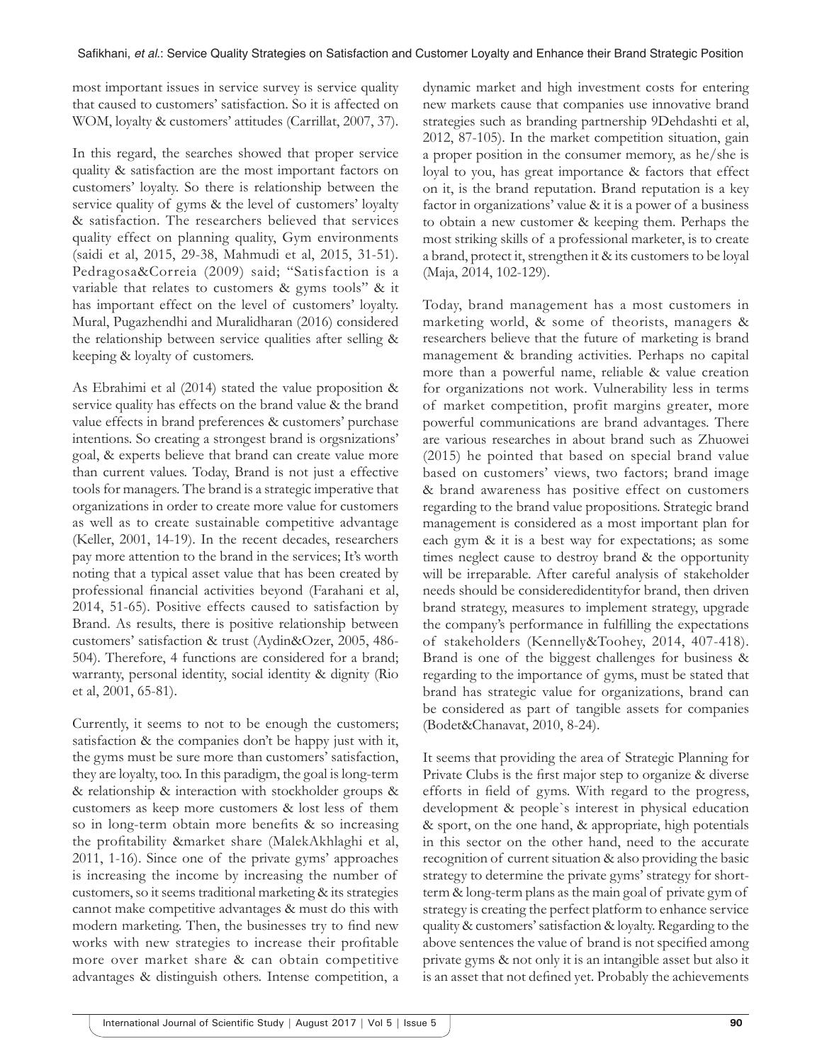most important issues in service survey is service quality that caused to customers' satisfaction. So it is affected on WOM, loyalty & customers' attitudes (Carrillat, 2007, 37).

In this regard, the searches showed that proper service quality & satisfaction are the most important factors on customers' loyalty. So there is relationship between the service quality of gyms & the level of customers' loyalty & satisfaction. The researchers believed that services quality effect on planning quality, Gym environments (saidi et al, 2015, 29-38, Mahmudi et al, 2015, 31-51). Pedragosa&Correia (2009) said; "Satisfaction is a variable that relates to customers & gyms tools" & it has important effect on the level of customers' loyalty. Mural, Pugazhendhi and Muralidharan (2016) considered the relationship between service qualities after selling & keeping & loyalty of customers.

As Ebrahimi et al (2014) stated the value proposition & service quality has effects on the brand value & the brand value effects in brand preferences & customers' purchase intentions. So creating a strongest brand is orgsnizations' goal, & experts believe that brand can create value more than current values. Today, Brand is not just a effective tools for managers. The brand is a strategic imperative that organizations in order to create more value for customers as well as to create sustainable competitive advantage (Keller, 2001, 14-19). In the recent decades, researchers pay more attention to the brand in the services; It's worth noting that a typical asset value that has been created by professional financial activities beyond (Farahani et al, 2014, 51-65). Positive effects caused to satisfaction by Brand. As results, there is positive relationship between customers' satisfaction & trust (Aydin&Ozer, 2005, 486- 504). Therefore, 4 functions are considered for a brand; warranty, personal identity, social identity & dignity (Rio et al, 2001, 65-81).

Currently, it seems to not to be enough the customers; satisfaction & the companies don't be happy just with it, the gyms must be sure more than customers' satisfaction, they are loyalty, too. In this paradigm, the goal is long-term & relationship & interaction with stockholder groups & customers as keep more customers & lost less of them so in long-term obtain more benefits & so increasing the profitability &market share (MalekAkhlaghi et al, 2011, 1-16). Since one of the private gyms' approaches is increasing the income by increasing the number of customers, so it seems traditional marketing & its strategies cannot make competitive advantages & must do this with modern marketing. Then, the businesses try to find new works with new strategies to increase their profitable more over market share & can obtain competitive advantages & distinguish others. Intense competition, a

dynamic market and high investment costs for entering new markets cause that companies use innovative brand strategies such as branding partnership 9Dehdashti et al, 2012, 87-105). In the market competition situation, gain a proper position in the consumer memory, as he/she is loyal to you, has great importance & factors that effect on it, is the brand reputation. Brand reputation is a key factor in organizations' value & it is a power of a business to obtain a new customer & keeping them. Perhaps the most striking skills of a professional marketer, is to create a brand, protect it, strengthen it & its customers to be loyal (Maja, 2014, 102-129).

Today, brand management has a most customers in marketing world, & some of theorists, managers & researchers believe that the future of marketing is brand management & branding activities. Perhaps no capital more than a powerful name, reliable & value creation for organizations not work. Vulnerability less in terms of market competition, profit margins greater, more powerful communications are brand advantages. There are various researches in about brand such as Zhuowei (2015) he pointed that based on special brand value based on customers' views, two factors; brand image & brand awareness has positive effect on customers regarding to the brand value propositions. Strategic brand management is considered as a most important plan for each gym & it is a best way for expectations; as some times neglect cause to destroy brand & the opportunity will be irreparable. After careful analysis of stakeholder needs should be consideredidentityfor brand, then driven brand strategy, measures to implement strategy, upgrade the company's performance in fulfilling the expectations of stakeholders (Kennelly&Toohey, 2014, 407-418). Brand is one of the biggest challenges for business & regarding to the importance of gyms, must be stated that brand has strategic value for organizations, brand can be considered as part of tangible assets for companies (Bodet&Chanavat, 2010, 8-24).

It seems that providing the area of Strategic Planning for Private Clubs is the first major step to organize & diverse efforts in field of gyms. With regard to the progress, development & people`s interest in physical education & sport, on the one hand, & appropriate, high potentials in this sector on the other hand, need to the accurate recognition of current situation & also providing the basic strategy to determine the private gyms' strategy for shortterm & long-term plans as the main goal of private gym of strategy is creating the perfect platform to enhance service quality & customers' satisfaction & loyalty. Regarding to the above sentences the value of brand is not specified among private gyms & not only it is an intangible asset but also it is an asset that not defined yet. Probably the achievements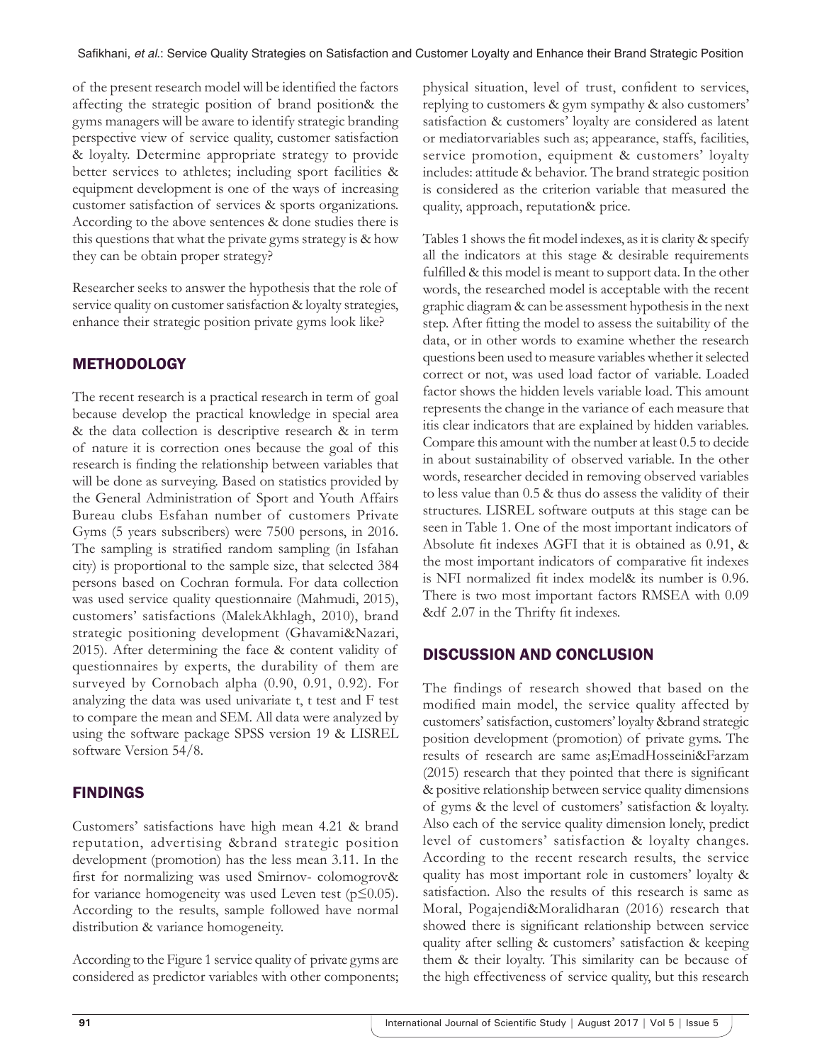of the present research model will be identified the factors affecting the strategic position of brand position& the gyms managers will be aware to identify strategic branding perspective view of service quality, customer satisfaction & loyalty. Determine appropriate strategy to provide better services to athletes; including sport facilities & equipment development is one of the ways of increasing customer satisfaction of services & sports organizations. According to the above sentences & done studies there is this questions that what the private gyms strategy is & how they can be obtain proper strategy?

Researcher seeks to answer the hypothesis that the role of service quality on customer satisfaction & loyalty strategies, enhance their strategic position private gyms look like?

## **METHODOLOGY**

The recent research is a practical research in term of goal because develop the practical knowledge in special area & the data collection is descriptive research & in term of nature it is correction ones because the goal of this research is finding the relationship between variables that will be done as surveying. Based on statistics provided by the General Administration of Sport and Youth Affairs Bureau clubs Esfahan number of customers Private Gyms (5 years subscribers) were 7500 persons, in 2016. The sampling is stratified random sampling (in Isfahan city) is proportional to the sample size, that selected 384 persons based on Cochran formula. For data collection was used service quality questionnaire (Mahmudi, 2015), customers' satisfactions (MalekAkhlagh, 2010), brand strategic positioning development (Ghavami&Nazari, 2015). After determining the face & content validity of questionnaires by experts, the durability of them are surveyed by Cornobach alpha (0.90, 0.91, 0.92). For analyzing the data was used univariate t, t test and F test to compare the mean and SEM. All data were analyzed by using the software package SPSS version 19 & LISREL software Version 54/8.

## FINDINGS

Customers' satisfactions have high mean 4.21 & brand reputation, advertising &brand strategic position development (promotion) has the less mean 3.11. In the first for normalizing was used Smirnov- colomogrov& for variance homogeneity was used Leven test ( $p \leq 0.05$ ). According to the results, sample followed have normal distribution & variance homogeneity.

According to the Figure 1 service quality of private gyms are considered as predictor variables with other components; physical situation, level of trust, confident to services, replying to customers & gym sympathy & also customers' satisfaction & customers' loyalty are considered as latent or mediatorvariables such as; appearance, staffs, facilities, service promotion, equipment & customers' loyalty includes: attitude & behavior. The brand strategic position is considered as the criterion variable that measured the quality, approach, reputation& price.

Tables 1 shows the fit model indexes, as it is clarity & specify all the indicators at this stage & desirable requirements fulfilled & this model is meant to support data. In the other words, the researched model is acceptable with the recent graphic diagram & can be assessment hypothesis in the next step. After fitting the model to assess the suitability of the data, or in other words to examine whether the research questions been used to measure variables whether it selected correct or not, was used load factor of variable. Loaded factor shows the hidden levels variable load. This amount represents the change in the variance of each measure that itis clear indicators that are explained by hidden variables. Compare this amount with the number at least 0.5 to decide in about sustainability of observed variable. In the other words, researcher decided in removing observed variables to less value than 0.5 & thus do assess the validity of their structures. LISREL software outputs at this stage can be seen in Table 1. One of the most important indicators of Absolute fit indexes AGFI that it is obtained as 0.91, & the most important indicators of comparative fit indexes is NFI normalized fit index model& its number is 0.96. There is two most important factors RMSEA with 0.09 &df 2.07 in the Thrifty fit indexes.

### DISCUSSION AND CONCLUSION

The findings of research showed that based on the modified main model, the service quality affected by customers' satisfaction, customers' loyalty &brand strategic position development (promotion) of private gyms. The results of research are same as;EmadHosseini&Farzam (2015) research that they pointed that there is significant & positive relationship between service quality dimensions of gyms & the level of customers' satisfaction & loyalty. Also each of the service quality dimension lonely, predict level of customers' satisfaction & loyalty changes. According to the recent research results, the service quality has most important role in customers' loyalty & satisfaction. Also the results of this research is same as Moral, Pogajendi&Moralidharan (2016) research that showed there is significant relationship between service quality after selling & customers' satisfaction & keeping them & their loyalty. This similarity can be because of the high effectiveness of service quality, but this research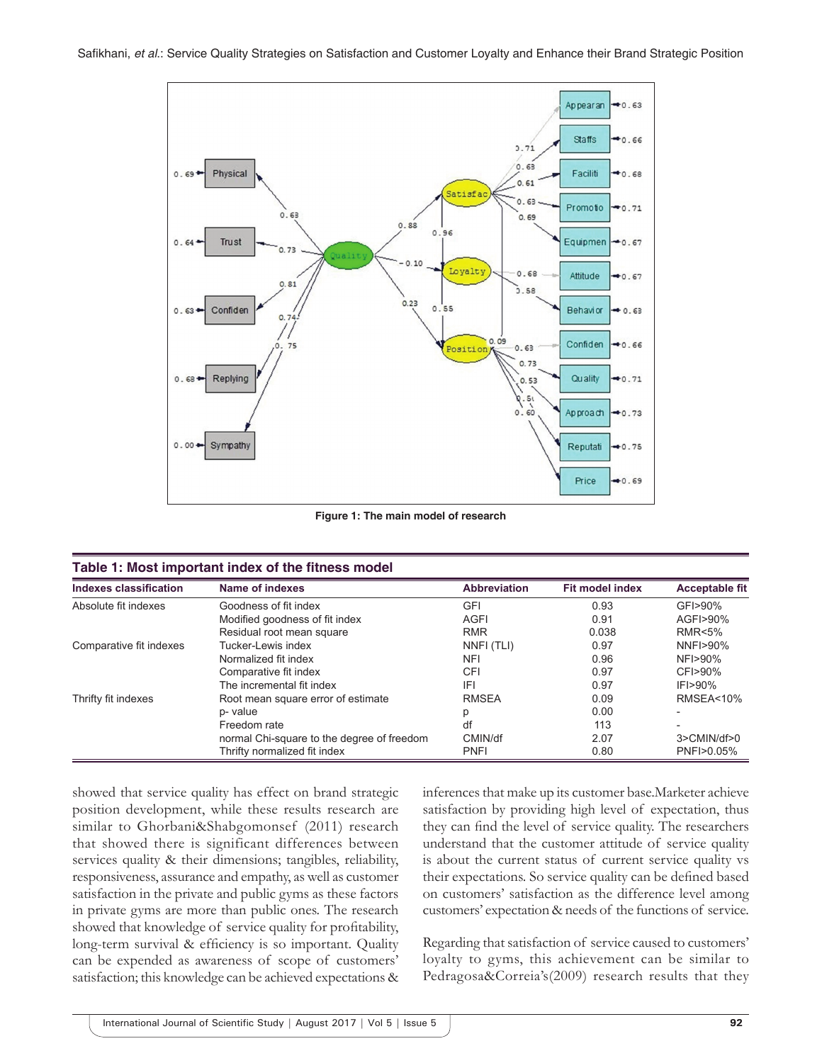

**Figure 1: The main model of research**

| <b>Indexes classification</b> | Name of indexes                            | <b>Abbreviation</b> | <b>Fit model index</b> | <b>Acceptable fit</b> |
|-------------------------------|--------------------------------------------|---------------------|------------------------|-----------------------|
| Absolute fit indexes          | Goodness of fit index                      | <b>GFI</b>          | 0.93                   | GFI>90%               |
|                               | Modified goodness of fit index             | <b>AGFI</b>         | 0.91                   | AGFI>90%              |
|                               | Residual root mean square                  | <b>RMR</b>          | 0.038                  | <b>RMR&lt;5%</b>      |
| Comparative fit indexes       | Tucker-Lewis index                         | NNFI (TLI)          | 0.97                   | NNFI>90%              |
|                               | Normalized fit index                       | <b>NFI</b>          | 0.96                   | NFI>90%               |
|                               | Comparative fit index                      | CFI                 | 0.97                   | CFI>90%               |
|                               | The incremental fit index                  | IFI                 | 0.97                   | $IF$ $>90\%$          |
| Thrifty fit indexes           | Root mean square error of estimate         | <b>RMSEA</b>        | 0.09                   | <b>RMSEA&lt;10%</b>   |
|                               | p- value                                   | р                   | 0.00                   |                       |
|                               | Freedom rate                               | df                  | 113                    |                       |
|                               | normal Chi-square to the degree of freedom | CMIN/df             | 2.07                   | 3>CMIN/df>0           |
|                               | Thrifty normalized fit index               | <b>PNFI</b>         | 0.80                   | PNFI>0.05%            |

showed that service quality has effect on brand strategic position development, while these results research are similar to Ghorbani&Shabgomonsef (2011) research that showed there is significant differences between services quality & their dimensions; tangibles, reliability, responsiveness, assurance and empathy, as well as customer satisfaction in the private and public gyms as these factors in private gyms are more than public ones. The research showed that knowledge of service quality for profitability, long-term survival & efficiency is so important. Quality can be expended as awareness of scope of customers' satisfaction; this knowledge can be achieved expectations & inferences that make up its customer base.Marketer achieve satisfaction by providing high level of expectation, thus they can find the level of service quality. The researchers understand that the customer attitude of service quality is about the current status of current service quality vs their expectations. So service quality can be defined based on customers' satisfaction as the difference level among customers' expectation & needs of the functions of service.

Regarding that satisfaction of service caused to customers' loyalty to gyms, this achievement can be similar to Pedragosa&Correia's(2009) research results that they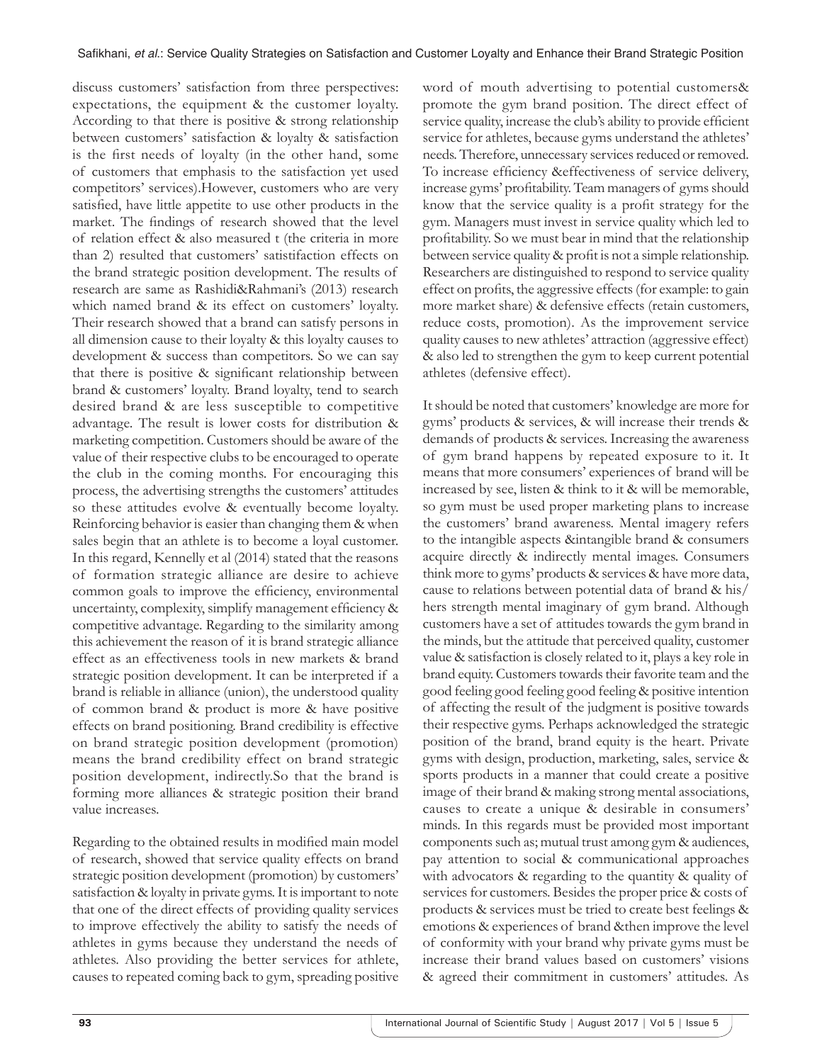discuss customers' satisfaction from three perspectives: expectations, the equipment & the customer loyalty. According to that there is positive & strong relationship between customers' satisfaction & loyalty & satisfaction is the first needs of loyalty (in the other hand, some of customers that emphasis to the satisfaction yet used competitors' services).However, customers who are very satisfied, have little appetite to use other products in the market. The findings of research showed that the level of relation effect & also measured t (the criteria in more than 2) resulted that customers' satistifaction effects on the brand strategic position development. The results of research are same as Rashidi&Rahmani's (2013) research which named brand & its effect on customers' loyalty. Their research showed that a brand can satisfy persons in all dimension cause to their loyalty & this loyalty causes to development & success than competitors. So we can say that there is positive & significant relationship between brand & customers' loyalty. Brand loyalty, tend to search desired brand & are less susceptible to competitive advantage. The result is lower costs for distribution & marketing competition. Customers should be aware of the value of their respective clubs to be encouraged to operate the club in the coming months. For encouraging this process, the advertising strengths the customers' attitudes so these attitudes evolve & eventually become loyalty. Reinforcing behavior is easier than changing them & when sales begin that an athlete is to become a loyal customer. In this regard, Kennelly et al (2014) stated that the reasons of formation strategic alliance are desire to achieve common goals to improve the efficiency, environmental uncertainty, complexity, simplify management efficiency & competitive advantage. Regarding to the similarity among this achievement the reason of it is brand strategic alliance effect as an effectiveness tools in new markets & brand strategic position development. It can be interpreted if a brand is reliable in alliance (union), the understood quality of common brand & product is more & have positive effects on brand positioning. Brand credibility is effective on brand strategic position development (promotion) means the brand credibility effect on brand strategic position development, indirectly.So that the brand is forming more alliances & strategic position their brand value increases.

Regarding to the obtained results in modified main model of research, showed that service quality effects on brand strategic position development (promotion) by customers' satisfaction & loyalty in private gyms. It is important to note that one of the direct effects of providing quality services to improve effectively the ability to satisfy the needs of athletes in gyms because they understand the needs of athletes. Also providing the better services for athlete, causes to repeated coming back to gym, spreading positive

word of mouth advertising to potential customers& promote the gym brand position. The direct effect of service quality, increase the club's ability to provide efficient service for athletes, because gyms understand the athletes' needs. Therefore, unnecessary services reduced or removed. To increase efficiency &effectiveness of service delivery, increase gyms' profitability. Team managers of gyms should know that the service quality is a profit strategy for the gym. Managers must invest in service quality which led to profitability. So we must bear in mind that the relationship between service quality & profit is not a simple relationship. Researchers are distinguished to respond to service quality effect on profits, the aggressive effects (for example: to gain more market share) & defensive effects (retain customers, reduce costs, promotion). As the improvement service quality causes to new athletes' attraction (aggressive effect) & also led to strengthen the gym to keep current potential athletes (defensive effect).

It should be noted that customers' knowledge are more for gyms' products & services, & will increase their trends & demands of products & services. Increasing the awareness of gym brand happens by repeated exposure to it. It means that more consumers' experiences of brand will be increased by see, listen & think to it & will be memorable, so gym must be used proper marketing plans to increase the customers' brand awareness. Mental imagery refers to the intangible aspects &intangible brand & consumers acquire directly & indirectly mental images. Consumers think more to gyms' products & services & have more data, cause to relations between potential data of brand & his/ hers strength mental imaginary of gym brand. Although customers have a set of attitudes towards the gym brand in the minds, but the attitude that perceived quality, customer value & satisfaction is closely related to it, plays a key role in brand equity. Customers towards their favorite team and the good feeling good feeling good feeling & positive intention of affecting the result of the judgment is positive towards their respective gyms. Perhaps acknowledged the strategic position of the brand, brand equity is the heart. Private gyms with design, production, marketing, sales, service & sports products in a manner that could create a positive image of their brand & making strong mental associations, causes to create a unique & desirable in consumers' minds. In this regards must be provided most important components such as; mutual trust among gym & audiences, pay attention to social & communicational approaches with advocators & regarding to the quantity & quality of services for customers. Besides the proper price & costs of products & services must be tried to create best feelings & emotions & experiences of brand &then improve the level of conformity with your brand why private gyms must be increase their brand values based on customers' visions & agreed their commitment in customers' attitudes. As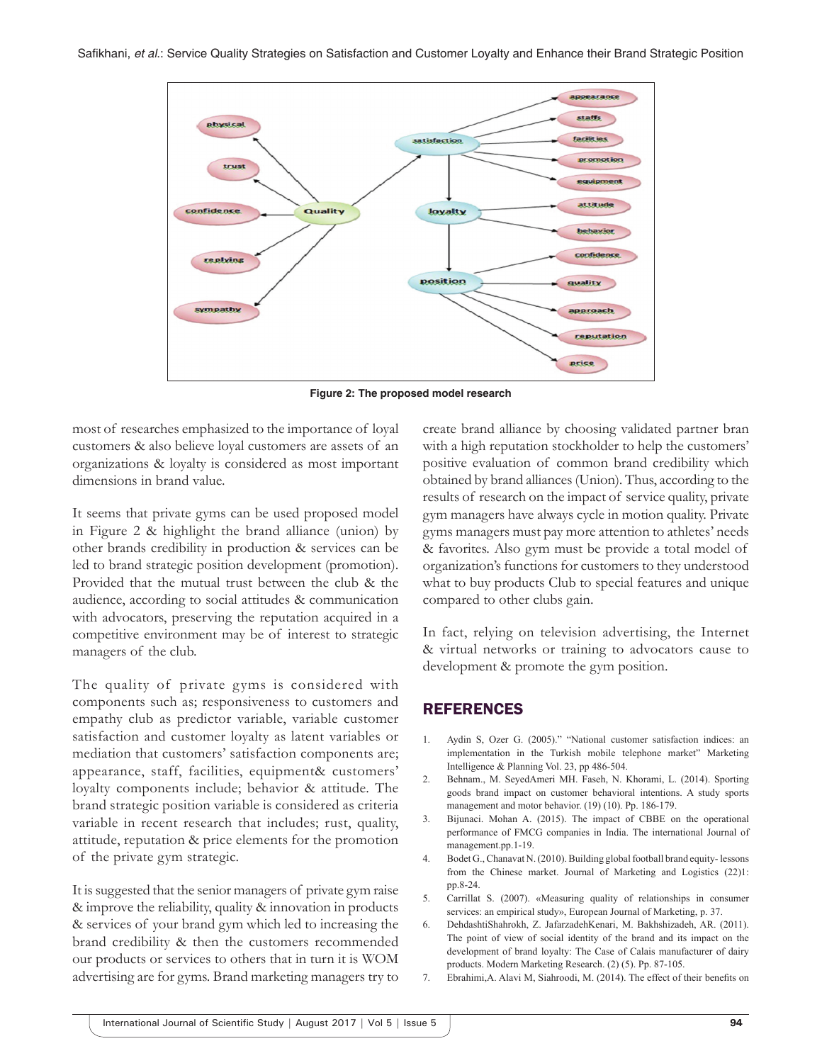

**Figure 2: The proposed model research**

most of researches emphasized to the importance of loyal customers & also believe loyal customers are assets of an organizations & loyalty is considered as most important dimensions in brand value.

It seems that private gyms can be used proposed model in Figure 2 & highlight the brand alliance (union) by other brands credibility in production & services can be led to brand strategic position development (promotion). Provided that the mutual trust between the club & the audience, according to social attitudes & communication with advocators, preserving the reputation acquired in a competitive environment may be of interest to strategic managers of the club.

The quality of private gyms is considered with components such as; responsiveness to customers and empathy club as predictor variable, variable customer satisfaction and customer loyalty as latent variables or mediation that customers' satisfaction components are; appearance, staff, facilities, equipment& customers' loyalty components include; behavior & attitude. The brand strategic position variable is considered as criteria variable in recent research that includes; rust, quality, attitude, reputation & price elements for the promotion of the private gym strategic.

It is suggested that the senior managers of private gym raise & improve the reliability, quality & innovation in products & services of your brand gym which led to increasing the brand credibility & then the customers recommended our products or services to others that in turn it is WOM advertising are for gyms. Brand marketing managers try to create brand alliance by choosing validated partner bran with a high reputation stockholder to help the customers' positive evaluation of common brand credibility which obtained by brand alliances (Union). Thus, according to the results of research on the impact of service quality, private gym managers have always cycle in motion quality. Private gyms managers must pay more attention to athletes' needs & favorites. Also gym must be provide a total model of organization's functions for customers to they understood what to buy products Club to special features and unique compared to other clubs gain.

In fact, relying on television advertising, the Internet & virtual networks or training to advocators cause to development & promote the gym position.

#### **REFERENCES**

- 1. Aydin S, Ozer G. (2005)." "National customer satisfaction indices: an implementation in the Turkish mobile telephone market" Marketing Intelligence & Planning Vol. 23, pp 486-504.
- 2. Behnam., M. SeyedAmeri MH. Faseh, N. Khorami, L. (2014). Sporting goods brand impact on customer behavioral intentions. A study sports management and motor behavior. (19) (10). Pp. 186-179.
- 3. Bijunaci. Mohan A. (2015). The impact of CBBE on the operational performance of FMCG companies in India. The international Journal of management.pp.1-19.
- 4. Bodet G., Chanavat N. (2010). Building global football brand equity-lessons from the Chinese market. Journal of Marketing and Logistics (22)1: pp.8-24.
- 5. Carrillat S. (2007). «Measuring quality of relationships in consumer services: an empirical study», European Journal of Marketing, p. 37.
- 6. DehdashtiShahrokh, Z. JafarzadehKenari, M. Bakhshizadeh, AR. (2011). The point of view of social identity of the brand and its impact on the development of brand loyalty: The Case of Calais manufacturer of dairy products. Modern Marketing Research. (2) (5). Pp. 87-105.
- 7. Ebrahimi, A. Alavi M, Siahroodi, M. (2014). The effect of their benefits on